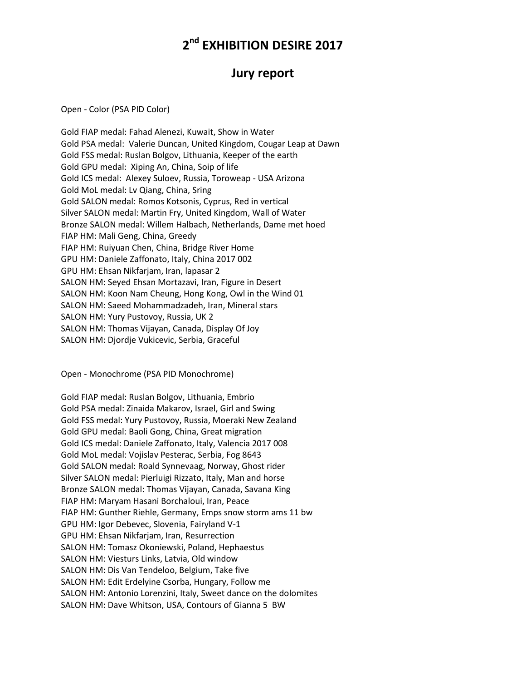## **2 nd EXHIBITION DESIRE 2017**

## **Jury report**

Open - Color (PSA PID Color)

Gold FIAP medal: Fahad Alenezi, Kuwait, Show in Water Gold PSA medal: Valerie Duncan, United Kingdom, Cougar Leap at Dawn Gold FSS medal: Ruslan Bolgov, Lithuania, Keeper of the earth Gold GPU medal: Xiping An, China, Soip of life Gold ICS medal: Alexey Suloev, Russia, Toroweap - USA Arizona Gold MoL medal: Lv Qiang, China, Sring Gold SALON medal: Romos Kotsonis, Cyprus, Red in vertical Silver SALON medal: Martin Fry, United Kingdom, Wall of Water Bronze SALON medal: Willem Halbach, Netherlands, Dame met hoed FIAP HM: Mali Geng, China, Greedy FIAP HM: Ruiyuan Chen, China, Bridge River Home GPU HM: Daniele Zaffonato, Italy, China 2017 002 GPU HM: Ehsan Nikfarjam, Iran, lapasar 2 SALON HM: Seyed Ehsan Mortazavi, Iran, Figure in Desert SALON HM: Koon Nam Cheung, Hong Kong, Owl in the Wind 01 SALON HM: Saeed Mohammadzadeh, Iran, Mineral stars SALON HM: Yury Pustovoy, Russia, UK 2 SALON HM: Thomas Vijayan, Canada, Display Of Joy SALON HM: Djordje Vukicevic, Serbia, Graceful

Open - Monochrome (PSA PID Monochrome)

Gold FIAP medal: Ruslan Bolgov, Lithuania, Embrio Gold PSA medal: Zinaida Makarov, Israel, Girl and Swing Gold FSS medal: Yury Pustovoy, Russia, Moeraki New Zealand Gold GPU medal: Baoli Gong, China, Great migration Gold ICS medal: Daniele Zaffonato, Italy, Valencia 2017 008 Gold MoL medal: Vojislav Pesterac, Serbia, Fog 8643 Gold SALON medal: Roald Synnevaag, Norway, Ghost rider Silver SALON medal: Pierluigi Rizzato, Italy, Man and horse Bronze SALON medal: Thomas Vijayan, Canada, Savana King FIAP HM: Maryam Hasani Borchaloui, Iran, Peace FIAP HM: Gunther Riehle, Germany, Emps snow storm ams 11 bw GPU HM: Igor Debevec, Slovenia, Fairyland V-1 GPU HM: Ehsan Nikfarjam, Iran, Resurrection SALON HM: Tomasz Okoniewski, Poland, Hephaestus SALON HM: Viesturs Links, Latvia, Old window SALON HM: Dis Van Tendeloo, Belgium, Take five SALON HM: Edit Erdelyine Csorba, Hungary, Follow me SALON HM: Antonio Lorenzini, Italy, Sweet dance on the dolomites SALON HM: Dave Whitson, USA, Contours of Gianna 5 BW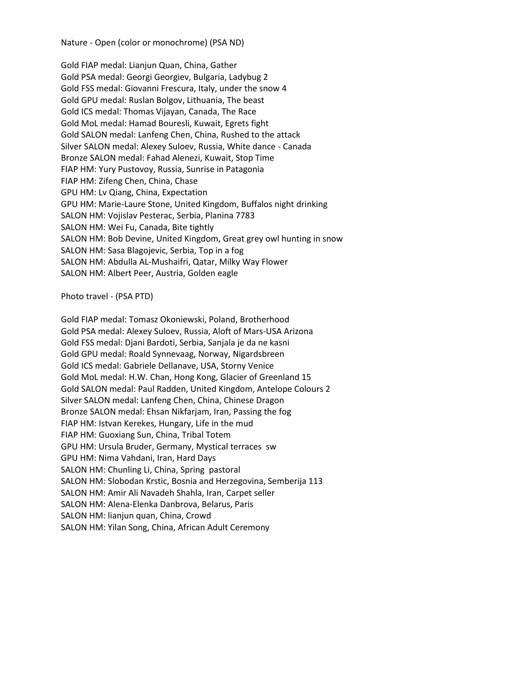Nature - Open (color or monochrome) (PSA ND)

Gold FIAP medal: Lianjun Quan, China, Gather Gold PSA medal: Georgi Georgiev, Bulgaria, Ladybug 2 Gold FSS medal: Giovanni Frescura, Italy, under the snow 4 Gold GPU medal: Ruslan Bolgov, Lithuania, The beast Gold ICS medal: Thomas Vijayan, Canada, The Race Gold MoL medal: Hamad Bouresli, Kuwait, Egrets fight Gold SALON medal: Lanfeng Chen, China, Rushed to the attack Silver SALON medal: Alexey Suloev, Russia, White dance - Canada Bronze SALON medal: Fahad Alenezi, Kuwait, Stop Time FIAP HM: Yury Pustovoy, Russia, Sunrise in Patagonia FIAP HM: Zifeng Chen, China, Chase GPU HM: Lv Qiang, China, Expectation GPU HM: Marie-Laure Stone, United Kingdom, Buffalos night drinking SALON HM: Vojislav Pesterac, Serbia, Planina 7783 SALON HM: Wei Fu, Canada, Bite tightly SALON HM: Bob Devine, United Kingdom, Great grey owl hunting in snow SALON HM: Sasa Blagojevic, Serbia, Top in a fog SALON HM: Abdulla AL-Mushaifri, Qatar, Milky Way Flower SALON HM: Albert Peer, Austria, Golden eagle

Photo travel - (PSA PTD)

Gold FIAP medal: Tomasz Okoniewski, Poland, Brotherhood Gold PSA medal: Alexey Suloev, Russia, Aloft of Mars-USA Arizona Gold FSS medal: Djani Bardoti, Serbia, Sanjala je da ne kasni Gold GPU medal: Roald Synnevaag, Norway, Nigardsbreen Gold ICS medal: Gabriele Dellanave, USA, Storny Venice Gold MoL medal: H.W. Chan, Hong Kong, Glacier of Greenland 15 Gold SALON medal: Paul Radden, United Kingdom, Antelope Colours 2 Silver SALON medal: Lanfeng Chen, China, Chinese Dragon Bronze SALON medal: Ehsan Nikfarjam, Iran, Passing the fog FIAP HM: Istvan Kerekes, Hungary, Life in the mud FIAP HM: Guoxiang Sun, China, Tribal Totem GPU HM: Ursula Bruder, Germany, Mystical terraces sw GPU HM: Nima Vahdani, Iran, Hard Days SALON HM: Chunling Li, China, Spring pastoral SALON HM: Slobodan Krstic, Bosnia and Herzegovina, Semberija 113 SALON HM: Amir Ali Navadeh Shahla, Iran, Carpet seller SALON HM: Alena-Elenka Danbrova, Belarus, Paris SALON HM: lianjun quan, China, Crowd SALON HM: Yilan Song, China, African Adult Ceremony